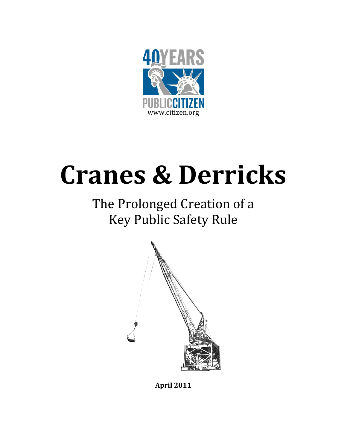

# Cranes & Derricks

# The Prolonged Creation of a Key Public Safety Rule



April 2011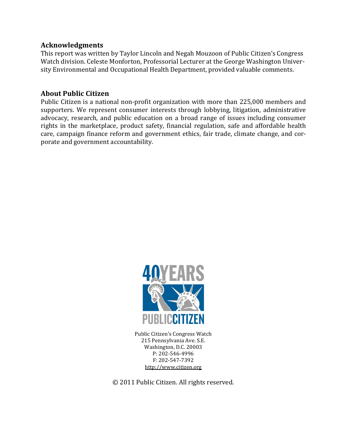## Acknowledgments

This report was written by Taylor Lincoln and Negah Mouzoon of Public Citizen's Congress Watch division. Celeste Monforton, Professorial Lecturer at the George Washington University Environmental and Occupational Health Department, provided valuable comments.

# About Public Citizen

Public Citizen is a national non-profit organization with more than 225,000 members and supporters. We represent consumer interests through lobbying, litigation, administrative advocacy, research, and public education on a broad range of issues including consumer rights in the marketplace, product safety, financial regulation, safe and affordable health care, campaign finance reform and government ethics, fair trade, climate change, and corporate and government accountability.



Public Citizen's Congress Watch 215 Pennsylvania Ave. S.E. Washington, D.C. 20003 P: 202-546-4996 F: 202-547-7392 http://www.citizen.org

© 2011 Public Citizen. All rights reserved.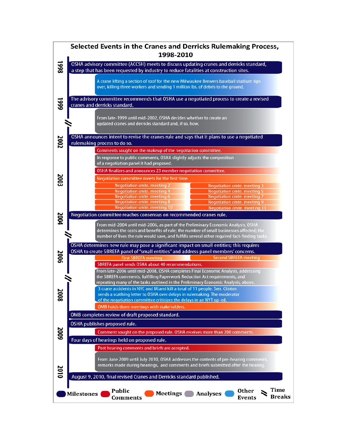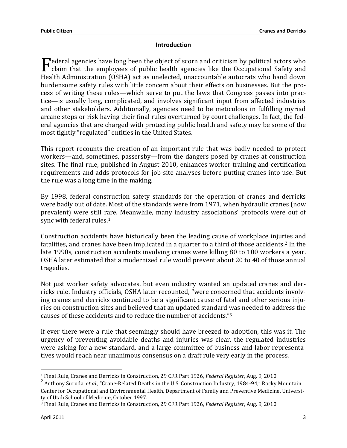#### **Introduction**

ederal agencies have long been the object of scorn and criticism by political actors who **F**ederal agencies have long been the object of scorn and criticism by political actors who claim that the employees of public health agencies like the Occupational Safety and Health Administration (OSHA) act as unelected, unaccountable autocrats who hand down burdensome safety rules with little concern about their effects on businesses. But the process of writing these rules—which serve to put the laws that Congress passes into practice—is usually long, complicated, and involves significant input from affected industries and other stakeholders. Additionally, agencies need to be meticulous in fulfilling myriad arcane steps or risk having their final rules overturned by court challenges. In fact, the federal agencies that are charged with protecting public health and safety may be some of the most tightly "regulated" entities in the United States.

This report recounts the creation of an important rule that was badly needed to protect workers—and, sometimes, passersby—from the dangers posed by cranes at construction sites. The final rule, published in August 2010, enhances worker training and certification requirements and adds protocols for job-site analyses before putting cranes into use. But the rule was a long time in the making.

By 1998, federal construction safety standards for the operation of cranes and derricks were badly out of date. Most of the standards were from 1971, when hydraulic cranes (now prevalent) were still rare. Meanwhile, many industry associations' protocols were out of sync with federal rules.<sup>1</sup>

Construction accidents have historically been the leading cause of workplace injuries and fatalities, and cranes have been implicated in a quarter to a third of those accidents.<sup>2</sup> In the late 1990s, construction accidents involving cranes were killing 80 to 100 workers a year. OSHA later estimated that a modernized rule would prevent about 20 to 40 of those annual tragedies.

Not just worker safety advocates, but even industry wanted an updated cranes and derricks rule. Industry officials, OSHA later recounted, "were concerned that accidents involving cranes and derricks continued to be a significant cause of fatal and other serious injuries on construction sites and believed that an updated standard was needed to address the causes of these accidents and to reduce the number of accidents."<sup>3</sup>

If ever there were a rule that seemingly should have breezed to adoption, this was it. The urgency of preventing avoidable deaths and injuries was clear, the regulated industries were asking for a new standard, and a large committee of business and labor representatives would reach near unanimous consensus on a draft rule very early in the process.

<sup>&</sup>lt;sup>1</sup> Final Rule, Cranes and Derricks in Construction, 29 CFR Part 1926, Federal Register, Aug. 9, 2010.

<sup>&</sup>lt;sup>2</sup> Anthony Suruda, et al., "Crane-Related Deaths in the U.S. Construction Industry, 1984-94," Rocky Mountain Center for Occupational and Environmental Health, Department of Family and Preventive Medicine, University of Utah School of Medicine, October 1997.

<sup>3</sup> Final Rule, Cranes and Derricks in Construction, 29 CFR Part 1926, Federal Register, Aug. 9, 2010.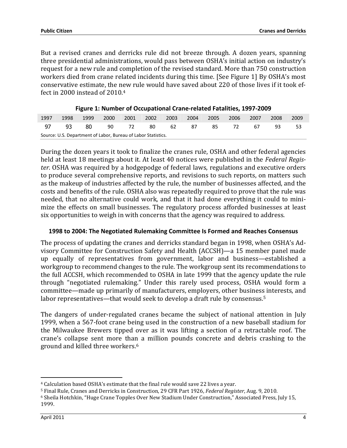But a revised cranes and derricks rule did not breeze through. A dozen years, spanning three presidential administrations, would pass between OSHA's initial action on industry's request for a new rule and completion of the revised standard. More than 750 construction workers died from crane related incidents during this time. [See Figure 1] By OSHA's most conservative estimate, the new rule would have saved about 220 of those lives if it took effect in 2000 instead of 2010.<sup>4</sup>

| 1997                                                          |  |  |  |  |  |  | 1998  1999  2000  2001  2002  2003  2004  2005  2006  2007  2008 |  |  | -2009 |
|---------------------------------------------------------------|--|--|--|--|--|--|------------------------------------------------------------------|--|--|-------|
|                                                               |  |  |  |  |  |  | 97 93 80 90 72 80 62 87 85 72 67 93                              |  |  | - 53  |
| Source: U.S. Department of Labor, Bureau of Labor Statistics. |  |  |  |  |  |  |                                                                  |  |  |       |

Figure 1: Number of Occupational Crane-related Fatalities, 1997-2009

During the dozen years it took to finalize the cranes rule, OSHA and other federal agencies held at least 18 meetings about it. At least 40 notices were published in the Federal Register. OSHA was required by a hodgepodge of federal laws, regulations and executive orders to produce several comprehensive reports, and revisions to such reports, on matters such as the makeup of industries affected by the rule, the number of businesses affected, and the costs and benefits of the rule. OSHA also was repeatedly required to prove that the rule was needed, that no alternative could work, and that it had done everything it could to minimize the effects on small businesses. The regulatory process afforded businesses at least six opportunities to weigh in with concerns that the agency was required to address.

#### 1998 to 2004: The Negotiated Rulemaking Committee Is Formed and Reaches Consensus

The process of updating the cranes and derricks standard began in 1998, when OSHA's Advisory Committee for Construction Safety and Health (ACCSH)—a 15 member panel made up equally of representatives from government, labor and business—established a workgroup to recommend changes to the rule. The workgroup sent its recommendations to the full ACCSH, which recommended to OSHA in late 1999 that the agency update the rule through "negotiated rulemaking." Under this rarely used process, OSHA would form a committee—made up primarily of manufacturers, employers, other business interests, and labor representatives—that would seek to develop a draft rule by consensus.<sup>5</sup>

The dangers of under-regulated cranes became the subject of national attention in July 1999, when a 567-foot crane being used in the construction of a new baseball stadium for the Milwaukee Brewers tipped over as it was lifting a section of a retractable roof. The crane's collapse sent more than a million pounds concrete and debris crashing to the ground and killed three workers.<sup>6</sup>

<sup>4</sup> Calculation based OSHA's estimate that the final rule would save 22 lives a year.

<sup>5</sup> Final Rule, Cranes and Derricks in Construction, 29 CFR Part 1926, Federal Register, Aug. 9, 2010.

<sup>6</sup> Sheila Hotchkin, "Huge Crane Topples Over New Stadium Under Construction," Associated Press, July 15, 1999.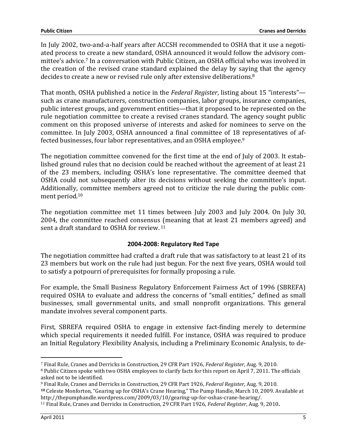In July 2002, two-and-a-half years after ACCSH recommended to OSHA that it use a negotiated process to create a new standard, OSHA announced it would follow the advisory committee's advice.7 In a conversation with Public Citizen, an OSHA official who was involved in the creation of the revised crane standard explained the delay by saying that the agency decides to create a new or revised rule only after extensive deliberations.<sup>8</sup>

That month, OSHA published a notice in the Federal Register, listing about 15 "interests" such as crane manufacturers, construction companies, labor groups, insurance companies, public interest groups, and government entities—that it proposed to be represented on the rule negotiation committee to create a revised cranes standard. The agency sought public comment on this proposed universe of interests and asked for nominees to serve on the committee. In July 2003, OSHA announced a final committee of 18 representatives of affected businesses, four labor representatives, and an OSHA employee.<sup>9</sup>

The negotiation committee convened for the first time at the end of July of 2003. It established ground rules that no decision could be reached without the agreement of at least 21 of the 23 members, including OSHA's lone representative. The committee deemed that OSHA could not subsequently alter its decisions without seeking the committee's input. Additionally, committee members agreed not to criticize the rule during the public comment period.<sup>10</sup>

The negotiation committee met 11 times between July 2003 and July 2004. On July 30, 2004, the committee reached consensus (meaning that at least 21 members agreed) and sent a draft standard to OSHA for review.<sup>11</sup>

### 2004-2008: Regulatory Red Tape

The negotiation committee had crafted a draft rule that was satisfactory to at least 21 of its 23 members but work on the rule had just begun. For the next five years, OSHA would toil to satisfy a potpourri of prerequisites for formally proposing a rule.

For example, the Small Business Regulatory Enforcement Fairness Act of 1996 (SBREFA) required OSHA to evaluate and address the concerns of "small entities," defined as small businesses, small governmental units, and small nonprofit organizations. This general mandate involves several component parts.

First, SBREFA required OSHA to engage in extensive fact-finding merely to determine which special requirements it needed fulfill. For instance, OSHA was required to produce an Initial Regulatory Flexibility Analysis, including a Preliminary Economic Analysis, to de-

 $\overline{a}$ 

<sup>7</sup> Final Rule, Cranes and Derricks in Construction, 29 CFR Part 1926, Federal Register, Aug. 9, 2010.

<sup>8</sup> Public Citizen spoke with two OSHA employees to clarify facts for this report on April 7, 2011. The officials asked not to be identified.

<sup>9</sup> Final Rule, Cranes and Derricks in Construction, 29 CFR Part 1926, Federal Register, Aug. 9, 2010.

<sup>10</sup> Celeste Monforton, "Gearing up for OSHA's Crane Hearing," The Pump Handle, March 10, 2009. Available at http://thepumphandle.wordpress.com/2009/03/10/gearing-up-for-oshas-crane-hearing/.

<sup>&</sup>lt;sup>11</sup> Final Rule, Cranes and Derricks in Construction, 29 CFR Part 1926, Federal Register, Aug. 9, 2010.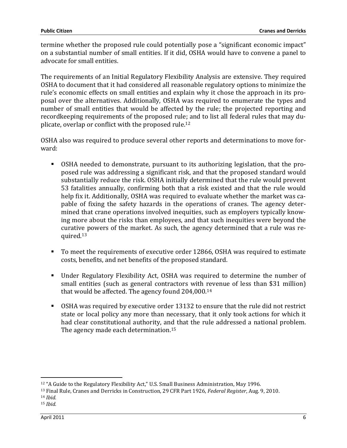termine whether the proposed rule could potentially pose a "significant economic impact" on a substantial number of small entities. If it did, OSHA would have to convene a panel to advocate for small entities.

The requirements of an Initial Regulatory Flexibility Analysis are extensive. They required OSHA to document that it had considered all reasonable regulatory options to minimize the rule's economic effects on small entities and explain why it chose the approach in its proposal over the alternatives. Additionally, OSHA was required to enumerate the types and number of small entities that would be affected by the rule; the projected reporting and recordkeeping requirements of the proposed rule; and to list all federal rules that may duplicate, overlap or conflict with the proposed rule. 12

OSHA also was required to produce several other reports and determinations to move forward:

- OSHA needed to demonstrate, pursuant to its authorizing legislation, that the proposed rule was addressing a significant risk, and that the proposed standard would substantially reduce the risk. OSHA initially determined that the rule would prevent 53 fatalities annually, confirming both that a risk existed and that the rule would help fix it. Additionally, OSHA was required to evaluate whether the market was capable of fixing the safety hazards in the operations of cranes. The agency determined that crane operations involved inequities, such as employers typically knowing more about the risks than employees, and that such inequities were beyond the curative powers of the market. As such, the agency determined that a rule was required.<sup>13</sup>
- To meet the requirements of executive order 12866, OSHA was required to estimate costs, benefits, and net benefits of the proposed standard.
- Under Regulatory Flexibility Act, OSHA was required to determine the number of small entities (such as general contractors with revenue of less than \$31 million) that would be affected. The agency found 204,000.<sup>14</sup>
- OSHA was required by executive order 13132 to ensure that the rule did not restrict state or local policy any more than necessary, that it only took actions for which it had clear constitutional authority, and that the rule addressed a national problem. The agency made each determination.<sup>15</sup>

l

<sup>&</sup>lt;sup>12</sup> "A Guide to the Regulatory Flexibility Act," U.S. Small Business Administration, May 1996.

<sup>&</sup>lt;sup>13</sup> Final Rule, Cranes and Derricks in Construction, 29 CFR Part 1926, Federal Register, Aug. 9, 2010.

<sup>14</sup> Ibid.

 $15$  *Ibid.*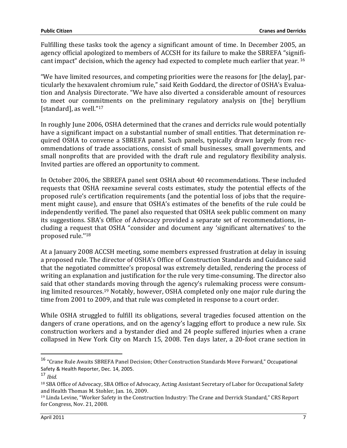Fulfilling these tasks took the agency a significant amount of time. In December 2005, an agency official apologized to members of ACCSH for its failure to make the SBREFA "significant impact" decision, which the agency had expected to complete much earlier that year.<sup>16</sup>

"We have limited resources, and competing priorities were the reasons for [the delay], particularly the hexavalent chromium rule," said Keith Goddard, the director of OSHA's Evaluation and Analysis Directorate. "We have also diverted a considerable amount of resources to meet our commitments on the preliminary regulatory analysis on [the] beryllium [standard], as well."<sup>17</sup>

In roughly June 2006, OSHA determined that the cranes and derricks rule would potentially have a significant impact on a substantial number of small entities. That determination required OSHA to convene a SBREFA panel. Such panels, typically drawn largely from recommendations of trade associations, consist of small businesses, small governments, and small nonprofits that are provided with the draft rule and regulatory flexibility analysis. Invited parties are offered an opportunity to comment.

In October 2006, the SBREFA panel sent OSHA about 40 recommendations. These included requests that OSHA reexamine several costs estimates, study the potential effects of the proposed rule's certification requirements (and the potential loss of jobs that the requirement might cause), and ensure that OSHA's estimates of the benefits of the rule could be independently verified. The panel also requested that OSHA seek public comment on many its suggestions. SBA's Office of Advocacy provided a separate set of recommendations, including a request that OSHA "consider and document any 'significant alternatives' to the proposed rule.''<sup>18</sup>

At a January 2008 ACCSH meeting, some members expressed frustration at delay in issuing a proposed rule. The director of OSHA's Office of Construction Standards and Guidance said that the negotiated committee's proposal was extremely detailed, rendering the process of writing an explanation and justification for the rule very time-consuming. The director also said that other standards moving through the agency's rulemaking process were consuming limited resources.19 Notably, however, OSHA completed only one major rule during the time from 2001 to 2009, and that rule was completed in response to a court order.

While OSHA struggled to fulfill its obligations, several tragedies focused attention on the dangers of crane operations, and on the agency's lagging effort to produce a new rule. Six construction workers and a bystander died and 24 people suffered injuries when a crane collapsed in New York City on March 15, 2008. Ten days later, a 20-foot crane section in

 $\overline{a}$ 

<sup>16</sup> "Crane Rule Awaits SBREFA Panel Decision; Other Construction Standards Move Forward," Occupational Safety & Health Reporter, Dec. 14, 2005.

 $17$  Ibid.

<sup>18</sup> SBA Office of Advocacy, SBA Office of Advocacy, Acting Assistant Secretary of Labor for Occupational Safety and Health Thomas M. Stohler, Jan. 16, 2009.

<sup>19</sup> Linda Levine, "Worker Safety in the Construction Industry: The Crane and Derrick Standard," CRS Report for Congress, Nov. 21, 2008.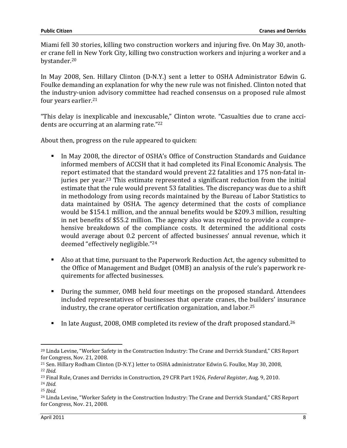Miami fell 30 stories, killing two construction workers and injuring five. On May 30, another crane fell in New York City, killing two construction workers and injuring a worker and a bystander.<sup>20</sup>

In May 2008, Sen. Hillary Clinton (D-N.Y.) sent a letter to OSHA Administrator Edwin G. Foulke demanding an explanation for why the new rule was not finished. Clinton noted that the industry-union advisory committee had reached consensus on a proposed rule almost four years earlier.<sup>21</sup>

"This delay is inexplicable and inexcusable," Clinton wrote. "Casualties due to crane accidents are occurring at an alarming rate."<sup>22</sup>

About then, progress on the rule appeared to quicken:

- In May 2008, the director of OSHA's Office of Construction Standards and Guidance informed members of ACCSH that it had completed its Final Economic Analysis. The report estimated that the standard would prevent 22 fatalities and 175 non-fatal injuries per year.23 This estimate represented a significant reduction from the initial estimate that the rule would prevent 53 fatalities. The discrepancy was due to a shift in methodology from using records maintained by the Bureau of Labor Statistics to data maintained by OSHA. The agency determined that the costs of compliance would be \$154.1 million, and the annual benefits would be \$209.3 million, resulting in net benefits of \$55.2 million. The agency also was required to provide a comprehensive breakdown of the compliance costs. It determined the additional costs would average about 0.2 percent of affected businesses' annual revenue, which it deemed "effectively negligible."<sup>24</sup>
- Also at that time, pursuant to the Paperwork Reduction Act, the agency submitted to the Office of Management and Budget (OMB) an analysis of the rule's paperwork requirements for affected businesses.
- **During the summer, OMB held four meetings on the proposed standard. Attendees** included representatives of businesses that operate cranes, the builders' insurance industry, the crane operator certification organization, and labor.<sup>25</sup>
- In late August, 2008, OMB completed its review of the draft proposed standard.<sup>26</sup>

<sup>20</sup> Linda Levine, "Worker Safety in the Construction Industry: The Crane and Derrick Standard," CRS Report for Congress, Nov. 21, 2008.

<sup>21</sup> Sen. Hillary Rodham Clinton (D-N.Y.) letter to OSHA administrator Edwin G. Foulke, May 30, 2008,  $22$  Ibid.

<sup>&</sup>lt;sup>23</sup> Final Rule, Cranes and Derricks in Construction, 29 CFR Part 1926, Federal Register, Aug. 9, 2010.

<sup>24</sup> Ibid.

 $25$  *Ibid.* 

<sup>&</sup>lt;sup>26</sup> Linda Levine, "Worker Safety in the Construction Industry: The Crane and Derrick Standard," CRS Report for Congress, Nov. 21, 2008.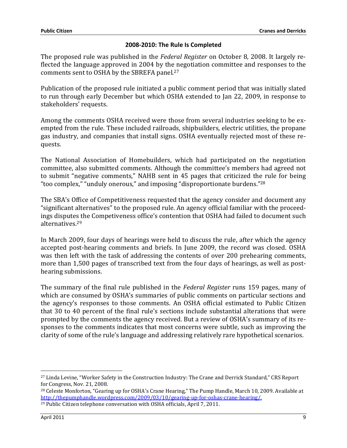#### 2008-2010: The Rule Is Completed

The proposed rule was published in the Federal Register on October 8, 2008. It largely reflected the language approved in 2004 by the negotiation committee and responses to the comments sent to OSHA by the SBREFA panel.<sup>27</sup>

Publication of the proposed rule initiated a public comment period that was initially slated to run through early December but which OSHA extended to Jan 22, 2009, in response to stakeholders' requests.

Among the comments OSHA received were those from several industries seeking to be exempted from the rule. These included railroads, shipbuilders, electric utilities, the propane gas industry, and companies that install signs. OSHA eventually rejected most of these requests.

The National Association of Homebuilders, which had participated on the negotiation committee, also submitted comments. Although the committee's members had agreed not to submit "negative comments," NAHB sent in 45 pages that criticized the rule for being "too complex," "unduly onerous," and imposing "disproportionate burdens."<sup>28</sup>

The SBA's Office of Competitiveness requested that the agency consider and document any "significant alternatives" to the proposed rule. An agency official familiar with the proceedings disputes the Competiveness office's contention that OSHA had failed to document such alternatives.<sup>29</sup>

In March 2009, four days of hearings were held to discuss the rule, after which the agency accepted post-hearing comments and briefs. In June 2009, the record was closed. OSHA was then left with the task of addressing the contents of over 200 prehearing comments, more than 1,500 pages of transcribed text from the four days of hearings, as well as posthearing submissions.

The summary of the final rule published in the Federal Register runs 159 pages, many of which are consumed by OSHA's summaries of public comments on particular sections and the agency's responses to those comments. An OSHA official estimated to Public Citizen that 30 to 40 percent of the final rule's sections include substantial alterations that were prompted by the comments the agency received. But a review of OSHA's summary of its responses to the comments indicates that most concerns were subtle, such as improving the clarity of some of the rule's language and addressing relatively rare hypothetical scenarios.

l

<sup>&</sup>lt;sup>27</sup> Linda Levine, "Worker Safety in the Construction Industry: The Crane and Derrick Standard," CRS Report for Congress, Nov. 21, 2008.

<sup>&</sup>lt;sup>28</sup> Celeste Monforton, "Gearing up for OSHA's Crane Hearing," The Pump Handle, March 10, 2009. Available at http://thepumphandle.wordpress.com/2009/03/10/gearing-up-for-oshas-crane-hearing/.

<sup>29</sup> Public Citizen telephone conversation with OSHA officials, April 7, 2011.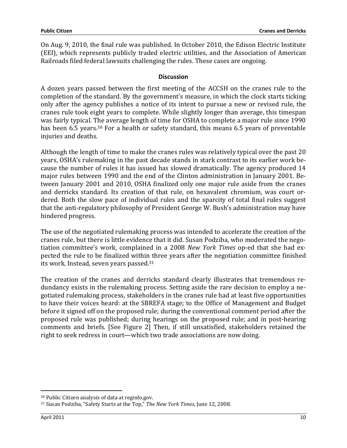On Aug. 9, 2010, the final rule was published. In October 2010, the Edison Electric Institute (EEI), which represents publicly traded electric utilities, and the Association of American Railroads filed federal lawsuits challenging the rules. These cases are ongoing.

#### **Discussion**

A dozen years passed between the first meeting of the ACCSH on the cranes rule to the completion of the standard. By the government's measure, in which the clock starts ticking only after the agency publishes a notice of its intent to pursue a new or revised rule, the cranes rule took eight years to complete. While slightly longer than average, this timespan was fairly typical. The average length of time for OSHA to complete a major rule since 1990 has been 6.5 years.<sup>30</sup> For a health or safety standard, this means 6.5 years of preventable injuries and deaths.

Although the length of time to make the cranes rules was relatively typical over the past 20 years, OSHA's rulemaking in the past decade stands in stark contrast to its earlier work because the number of rules it has issued has slowed dramatically. The agency produced 14 major rules between 1990 and the end of the Clinton administration in January 2001. Between January 2001 and 2010, OSHA finalized only one major rule aside from the cranes and derricks standard. Its creation of that rule, on hexavalent chromium, was court ordered. Both the slow pace of individual rules and the sparcity of total final rules suggest that the anti-regulatory philosophy of President George W. Bush's administration may have hindered progress.

The use of the negotiated rulemaking process was intended to accelerate the creation of the cranes rule, but there is little evidence that it did. Susan Podziba, who moderated the negotiation committee's work, complained in a 2008 New York Times op-ed that she had expected the rule to be finalized within three years after the negotiation committee finished its work. Instead, seven years passed.<sup>31</sup>

The creation of the cranes and derricks standard clearly illustrates that tremendous redundancy exists in the rulemaking process. Setting aside the rare decision to employ a negotiated rulemaking process, stakeholders in the cranes rule had at least five opportunities to have their voices heard: at the SBREFA stage; to the Office of Management and Budget before it signed off on the proposed rule; during the conventional comment period after the proposed rule was published; during hearings on the proposed rule; and in post-hearing comments and briefs. [See Figure 2] Then, if still unsatisfied, stakeholders retained the right to seek redress in court—which two trade associations are now doing.

<sup>30</sup> Public Citizen analysis of data at reginfo.gov.

<sup>31</sup> Susan Podziba, "Safety Starts at the Top," The New York Times, June 12, 2008.